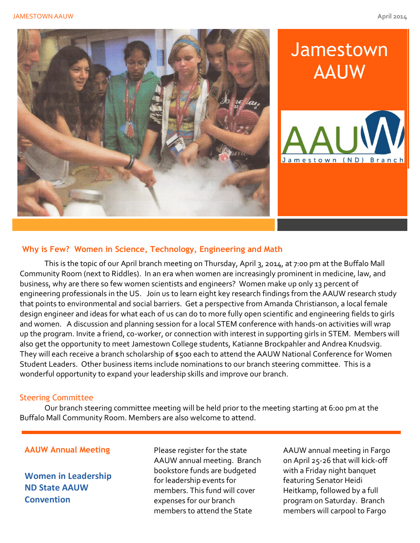

# **Jamestown** AAUW



# **Why is Few? Women in Science, Technology, Engineering and Math**

This is the topic of our April branch meeting on Thursday, April 3, 2014, at 7:00 pm at the Buffalo Mall Community Room (next to Riddles). In an era when women are increasingly prominent in medicine, law, and business, why are there so few women scientists and engineers? Women make up only 13 percent of engineering professionals in the US. Join us to learn eight key research findings from the AAUW research study that points to environmental and social barriers. Get a perspective from Amanda Christianson, a local female design engineer and ideas for what each of us can do to more fully open scientific and engineering fields to girls and women. A discussion and planning session for a local STEM conference with hands-on activities will wrap up the program. Invite a friend, co-worker, or connection with interest in supporting girls in STEM. Members will also get the opportunity to meet Jamestown College students, Katianne Brockpahler and Andrea Knudsvig. They will each receive a branch scholarship of \$500 each to attend the AAUW National Conference for Women Student Leaders. Other business items include nominations to our branch steering committee. This is a wonderful opportunity to expand your leadership skills and improve our branch.

#### Steering Committee

Our branch steering committee meeting will be held prior to the meeting starting at 6:00 pm at the Buffalo Mall Community Room. Members are also welcome to attend.

# **AAUW Annual Meeting**

**Women in Leadership ND State AAUW Convention**

Please register for the state AAUW annual meeting. Branch bookstore funds are budgeted for leadership events for members. This fund will cover expenses for our branch members to attend the State

AAUW annual meeting in Fargo on April 25-26 that will kick-off with a Friday night banquet featuring Senator Heidi Heitkamp, followed by a full program on Saturday. Branch members will carpool to Fargo